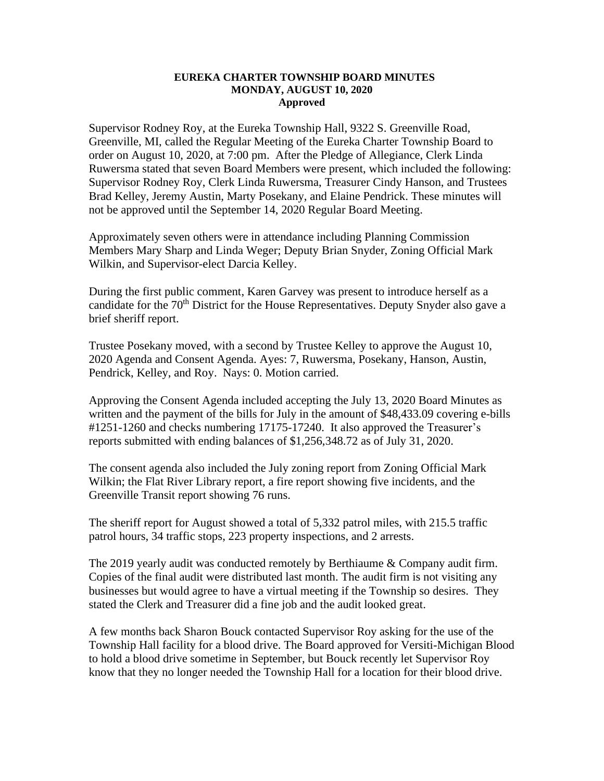## **EUREKA CHARTER TOWNSHIP BOARD MINUTES MONDAY, AUGUST 10, 2020 Approved**

Supervisor Rodney Roy, at the Eureka Township Hall, 9322 S. Greenville Road, Greenville, MI, called the Regular Meeting of the Eureka Charter Township Board to order on August 10, 2020, at 7:00 pm. After the Pledge of Allegiance, Clerk Linda Ruwersma stated that seven Board Members were present, which included the following: Supervisor Rodney Roy, Clerk Linda Ruwersma, Treasurer Cindy Hanson, and Trustees Brad Kelley, Jeremy Austin, Marty Posekany, and Elaine Pendrick. These minutes will not be approved until the September 14, 2020 Regular Board Meeting.

Approximately seven others were in attendance including Planning Commission Members Mary Sharp and Linda Weger; Deputy Brian Snyder, Zoning Official Mark Wilkin, and Supervisor-elect Darcia Kelley.

During the first public comment, Karen Garvey was present to introduce herself as a candidate for the 70<sup>th</sup> District for the House Representatives. Deputy Snyder also gave a brief sheriff report.

Trustee Posekany moved, with a second by Trustee Kelley to approve the August 10, 2020 Agenda and Consent Agenda. Ayes: 7, Ruwersma, Posekany, Hanson, Austin, Pendrick, Kelley, and Roy. Nays: 0. Motion carried.

Approving the Consent Agenda included accepting the July 13, 2020 Board Minutes as written and the payment of the bills for July in the amount of \$48,433.09 covering e-bills #1251-1260 and checks numbering 17175-17240. It also approved the Treasurer's reports submitted with ending balances of \$1,256,348.72 as of July 31, 2020.

The consent agenda also included the July zoning report from Zoning Official Mark Wilkin; the Flat River Library report, a fire report showing five incidents, and the Greenville Transit report showing 76 runs.

The sheriff report for August showed a total of 5,332 patrol miles, with 215.5 traffic patrol hours, 34 traffic stops, 223 property inspections, and 2 arrests.

The 2019 yearly audit was conducted remotely by Berthiaume & Company audit firm. Copies of the final audit were distributed last month. The audit firm is not visiting any businesses but would agree to have a virtual meeting if the Township so desires. They stated the Clerk and Treasurer did a fine job and the audit looked great.

A few months back Sharon Bouck contacted Supervisor Roy asking for the use of the Township Hall facility for a blood drive. The Board approved for Versiti-Michigan Blood to hold a blood drive sometime in September, but Bouck recently let Supervisor Roy know that they no longer needed the Township Hall for a location for their blood drive.